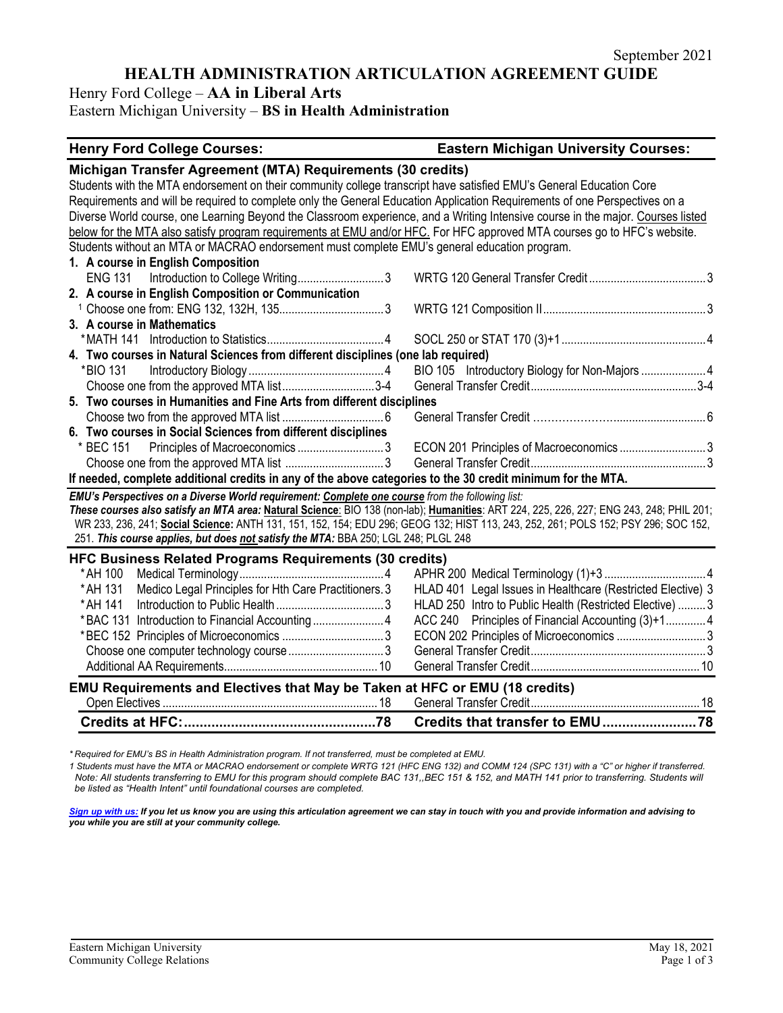# **HEALTH ADMINISTRATION ARTICULATION AGREEMENT GUIDE**

Henry Ford College – **AA in Liberal Arts**

Eastern Michigan University – **BS in Health Administration**

#### **Henry Ford College Courses: Eastern Michigan University Courses:**

| Michigan Transfer Agreement (MTA) Requirements (30 credits)                                                                             |                                                             |
|-----------------------------------------------------------------------------------------------------------------------------------------|-------------------------------------------------------------|
| Students with the MTA endorsement on their community college transcript have satisfied EMU's General Education Core                     |                                                             |
| Requirements and will be required to complete only the General Education Application Requirements of one Perspectives on a              |                                                             |
| Diverse World course, one Learning Beyond the Classroom experience, and a Writing Intensive course in the major. Courses listed         |                                                             |
| below for the MTA also satisfy program requirements at EMU and/or HFC. For HFC approved MTA courses go to HFC's website.                |                                                             |
| Students without an MTA or MACRAO endorsement must complete EMU's general education program.                                            |                                                             |
| 1. A course in English Composition                                                                                                      |                                                             |
| ENG 131 Introduction to College Writing3                                                                                                |                                                             |
| 2. A course in English Composition or Communication                                                                                     |                                                             |
|                                                                                                                                         |                                                             |
| 3. A course in Mathematics                                                                                                              |                                                             |
|                                                                                                                                         |                                                             |
| 4. Two courses in Natural Sciences from different disciplines (one lab required)                                                        |                                                             |
| *BIO 131                                                                                                                                | BIO 105 Introductory Biology for Non-Majors  4              |
| Choose one from the approved MTA list3-4                                                                                                |                                                             |
| 5. Two courses in Humanities and Fine Arts from different disciplines                                                                   |                                                             |
|                                                                                                                                         |                                                             |
| 6. Two courses in Social Sciences from different disciplines                                                                            |                                                             |
| * BEC 151                                                                                                                               |                                                             |
|                                                                                                                                         |                                                             |
| If needed, complete additional credits in any of the above categories to the 30 credit minimum for the MTA.                             |                                                             |
| EMU's Perspectives on a Diverse World requirement: Complete one course from the following list:                                         |                                                             |
| These courses also satisfy an MTA area: Natural Science: BIO 138 (non-lab); Humanities: ART 224, 225, 226, 227; ENG 243, 248; PHIL 201; |                                                             |
| WR 233, 236, 241; Social Science: ANTH 131, 151, 152, 154; EDU 296; GEOG 132; HIST 113, 243, 252, 261; POLS 152; PSY 296; SOC 152,      |                                                             |
| 251. This course applies, but does not satisfy the MTA: BBA 250; LGL 248; PLGL 248                                                      |                                                             |
| <b>HFC Business Related Programs Requirements (30 credits)</b>                                                                          |                                                             |
| * AH 100                                                                                                                                |                                                             |
| Medico Legal Principles for Hth Care Practitioners. 3<br>* AH 131                                                                       | HLAD 401 Legal Issues in Healthcare (Restricted Elective) 3 |
| * AH 141                                                                                                                                | HLAD 250 Intro to Public Health (Restricted Elective)  3    |
|                                                                                                                                         | ACC 240 Principles of Financial Accounting (3)+14           |
|                                                                                                                                         |                                                             |
|                                                                                                                                         |                                                             |
|                                                                                                                                         |                                                             |
| EMU Requirements and Electives that May be Taken at HFC or EMU (18 credits)                                                             |                                                             |
|                                                                                                                                         |                                                             |
|                                                                                                                                         |                                                             |

*\* Required for EMU's BS in Health Administration program. If not transferred, must be completed at EMU.* 

*1 Students must have the MTA or MACRAO endorsement or complete WRTG 121 (HFC ENG 132) and COMM 124 (SPC 131) with a "C" or higher if transferred. Note: All students transferring to EMU for this program should complete BAC 131,,BEC 151 & 152, and MATH 141 prior to transferring. Students will be listed as "Health Intent" until foundational courses are completed.*

*[Sign up with us:](https://www.emich.edu/ccr/articulation-agreements/signup.php) If you let us know you are using this articulation agreement we can stay in touch with you and provide information and advising to you while you are still at your community college.*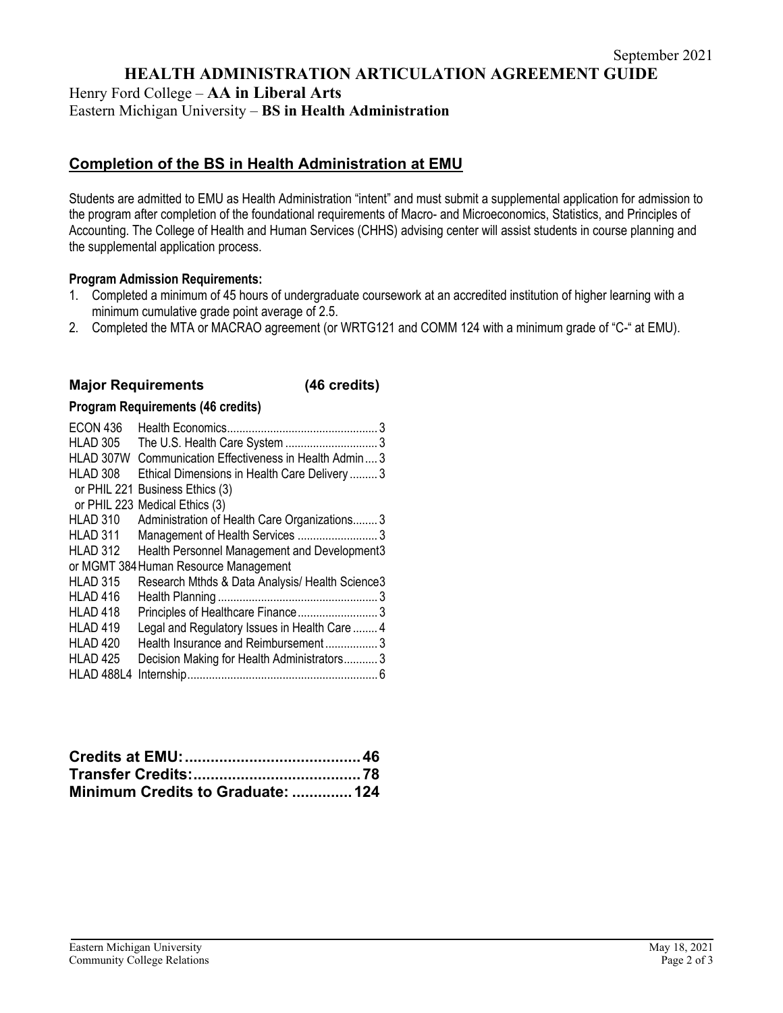**HEALTH ADMINISTRATION ARTICULATION AGREEMENT GUIDE**

Henry Ford College – **AA in Liberal Arts**

Eastern Michigan University – **BS in Health Administration**

# **Completion of the BS in Health Administration at EMU**

Students are admitted to EMU as Health Administration "intent" and must submit a supplemental application for admission to the program after completion of the foundational requirements of Macro- and Microeconomics, Statistics, and Principles of Accounting. The College of Health and Human Services (CHHS) advising center will assist students in course planning and the supplemental application process.

#### **Program Admission Requirements:**

- 1. Completed a minimum of 45 hours of undergraduate coursework at an accredited institution of higher learning with a minimum cumulative grade point average of 2.5.
- 2. Completed the MTA or MACRAO agreement (or WRTG121 and COMM 124 with a minimum grade of "C-" at EMU).

# **Major Requirements (46 credits)**

## **Program Requirements (46 credits)**

| ECON 436            |                                                 |
|---------------------|-------------------------------------------------|
| <b>HLAD 305</b>     |                                                 |
| HLAD 307W           | Communication Effectiveness in Health Admin 3   |
| HLAD 308            | Ethical Dimensions in Health Care Delivery  3   |
|                     | or PHIL 221 Business Ethics (3)                 |
|                     | or PHIL 223 Medical Ethics (3)                  |
| HLAD 310            | Administration of Health Care Organizations 3   |
| HLAD 311            |                                                 |
| <b>HLAD 312</b>     | Health Personnel Management and Development3    |
|                     | or MGMT 384 Human Resource Management           |
| <b>HLAD 315</b>     | Research Mthds & Data Analysis/ Health Science3 |
| HLAD <sub>416</sub> |                                                 |
| <b>HLAD 418</b>     | Principles of Healthcare Finance 3              |
| HLAD <sub>419</sub> | Legal and Regulatory Issues in Health Care  4   |
| HLAD <sub>420</sub> | Health Insurance and Reimbursement3             |
| <b>HLAD 425</b>     | Decision Making for Health Administrators3      |
| HLAD 488L4          |                                                 |

| Minimum Credits to Graduate: 124 |  |
|----------------------------------|--|